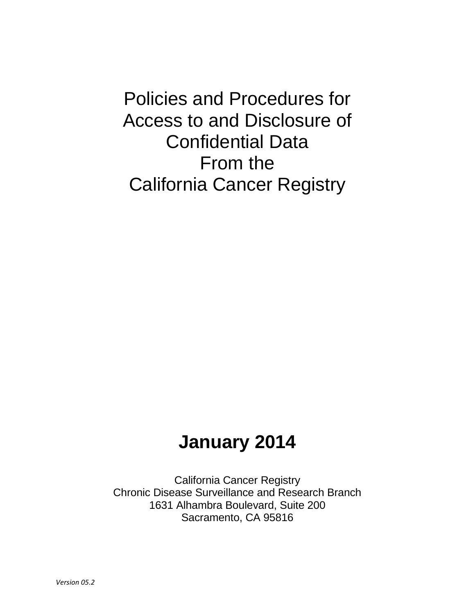Policies and Procedures for Access to and Disclosure of Confidential Data From the California Cancer Registry

# **January 2014**

California Cancer Registry Chronic Disease Surveillance and Research Branch 1631 Alhambra Boulevard, Suite 200 Sacramento, CA 95816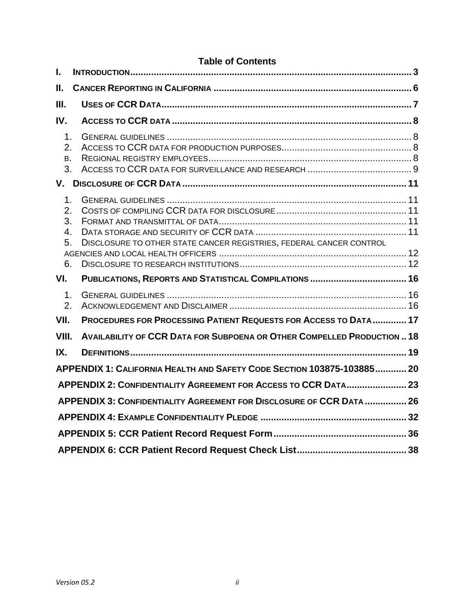## **Table of Contents**

| I.                                                                   |                                                                         |  |  |  |  |  |
|----------------------------------------------------------------------|-------------------------------------------------------------------------|--|--|--|--|--|
| Ш.                                                                   |                                                                         |  |  |  |  |  |
| III.                                                                 |                                                                         |  |  |  |  |  |
| IV.                                                                  |                                                                         |  |  |  |  |  |
| $\mathbf{1}$ .<br>2.<br>Β.<br>3.                                     |                                                                         |  |  |  |  |  |
|                                                                      |                                                                         |  |  |  |  |  |
| 1 <sub>1</sub><br>2.<br>3.<br>4.<br>5.<br>6.                         | DISCLOSURE TO OTHER STATE CANCER REGISTRIES, FEDERAL CANCER CONTROL     |  |  |  |  |  |
| VI.                                                                  |                                                                         |  |  |  |  |  |
| 1 <sub>1</sub><br>2.<br>VII.                                         | PROCEDURES FOR PROCESSING PATIENT REQUESTS FOR ACCESS TO DATA  17       |  |  |  |  |  |
| VIII.                                                                | AVAILABILITY OF CCR DATA FOR SUBPOENA OR OTHER COMPELLED PRODUCTION  18 |  |  |  |  |  |
| IX.                                                                  | APPENDIX 1: CALIFORNIA HEALTH AND SAFETY CODE SECTION 103875-103885 20  |  |  |  |  |  |
|                                                                      |                                                                         |  |  |  |  |  |
| APPENDIX 2: CONFIDENTIALITY AGREEMENT FOR ACCESS TO CCR DATA 23      |                                                                         |  |  |  |  |  |
| APPENDIX 3: CONFIDENTIALITY AGREEMENT FOR DISCLOSURE OF CCR DATA  26 |                                                                         |  |  |  |  |  |
|                                                                      |                                                                         |  |  |  |  |  |
|                                                                      |                                                                         |  |  |  |  |  |
|                                                                      |                                                                         |  |  |  |  |  |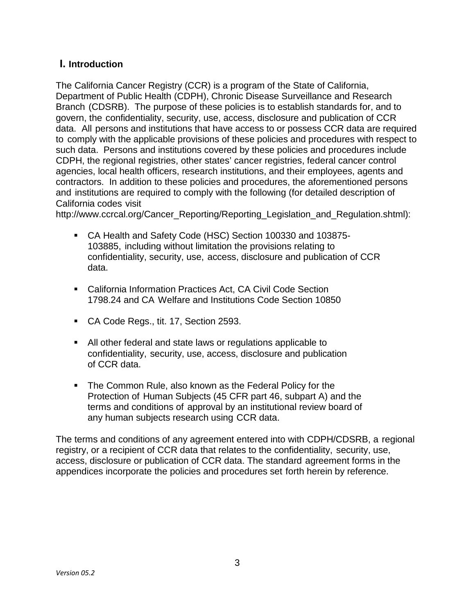## <span id="page-2-0"></span>**I. Introduction**

The California Cancer Registry (CCR) is a program of the State of California, Department of Public Health (CDPH), Chronic Disease Surveillance and Research Branch (CDSRB). The purpose of these policies is to establish standards for, and to govern, the confidentiality, security, use, access, disclosure and publication of CCR data. All persons and institutions that have access to or possess CCR data are required to comply with the applicable provisions of these policies and procedures with respect to such data. Persons and institutions covered by these policies and procedures include CDPH, the regional registries, other states' cancer registries, federal cancer control agencies, local health officers, research institutions, and their employees, agents and contractors. In addition to these policies and procedures, the aforementioned persons and institutions are required to comply with the following (for detailed description of California codes visit

[http://www.ccrcal.org/Cancer\\_Reporting/Reporting\\_Legislation\\_and\\_Regulation.shtml\)](http://www.ccrcal.org/Cancer_Reporting/Reporting_Legislation_and_Regulation.shtml):

- CA Health and Safety Code (HSC) Section 100330 and 103875- 103885, including without limitation the provisions relating to confidentiality, security, use, access, disclosure and publication of CCR data.
- California Information Practices Act, CA Civil Code Section 1798.24 and CA Welfare and Institutions Code Section 10850
- CA Code Regs., tit. 17, Section 2593.
- All other federal and state laws or regulations applicable to confidentiality, security, use, access, disclosure and publication of CCR data.
- **The Common Rule, also known as the Federal Policy for the** Protection of Human Subjects (45 CFR part 46, subpart A) and the terms and conditions of approval by an institutional review board of any human subjects research using CCR data.

The terms and conditions of any agreement entered into with CDPH/CDSRB, a regional registry, or a recipient of CCR data that relates to the confidentiality, security, use, access, disclosure or publication of CCR data. The standard agreement forms in the appendices incorporate the policies and procedures set forth herein by reference.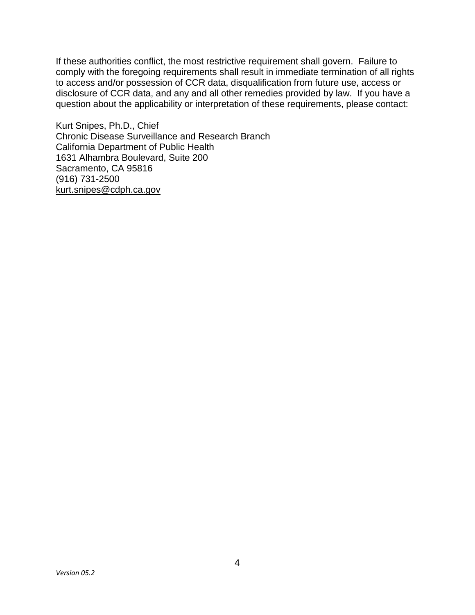If these authorities conflict, the most restrictive requirement shall govern. Failure to comply with the foregoing requirements shall result in immediate termination of all rights to access and/or possession of CCR data, disqualification from future use, access or disclosure of CCR data, and any and all other remedies provided by law. If you have a question about the applicability or interpretation of these requirements, please contact:

Kurt Snipes, Ph.D., Chief Chronic Disease Surveillance and Research Branch California Department of Public Health 1631 Alhambra Boulevard, Suite 200 Sacramento, CA 95816 (916) 731-2500 [kurt.snipes@cdph.ca.gov](mailto:kurt.snipes@cdph.ca.gov)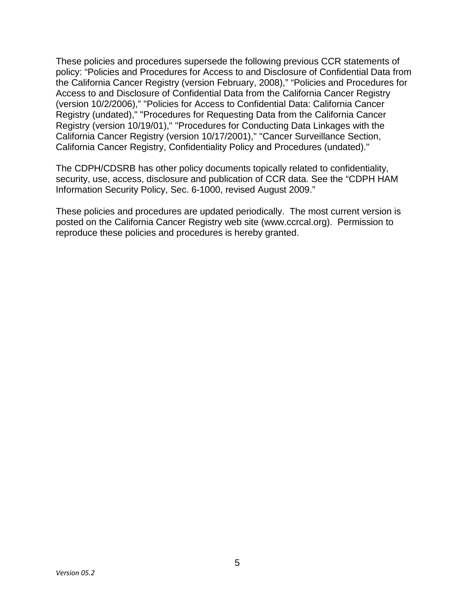These policies and procedures supersede the following previous CCR statements of policy: "Policies and Procedures for Access to and Disclosure of Confidential Data from the California Cancer Registry (version February, 2008)," "Policies and Procedures for Access to and Disclosure of Confidential Data from the California Cancer Registry (version 10/2/2006)," "Policies for Access to Confidential Data: California Cancer Registry (undated)," "Procedures for Requesting Data from the California Cancer Registry (version 10/19/01)," "Procedures for Conducting Data Linkages with the California Cancer Registry (version 10/17/2001)," "Cancer Surveillance Section, California Cancer Registry, Confidentiality Policy and Procedures (undated)."

The CDPH/CDSRB has other policy documents topically related to confidentiality, security, use, access, disclosure and publication of CCR data. See the "CDPH HAM Information Security Policy, Sec. 6-1000, revised August 2009."

These policies and procedures are updated periodically. The most current version is posted on the California Cancer Registry web site [\(www.ccrcal.org\)](http://www.ccrcal.org/). Permission to reproduce these policies and procedures is hereby granted.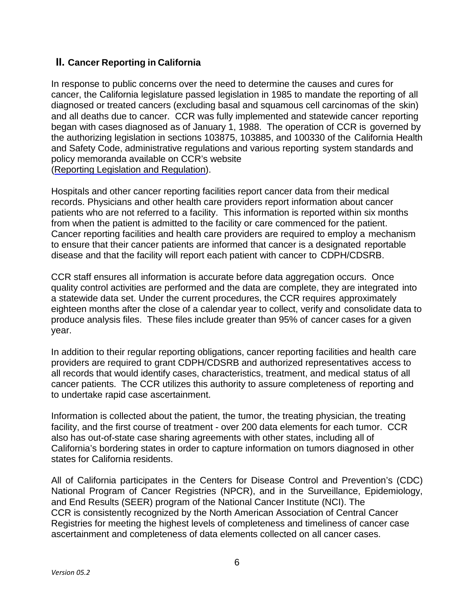## <span id="page-5-0"></span>**II. Cancer Reporting in California**

In response to public concerns over the need to determine the causes and cures for cancer, the California legislature passed legislation in 1985 to mandate the reporting of all diagnosed or treated cancers (excluding basal and squamous cell carcinomas of the skin) and all deaths due to cancer. CCR was fully implemented and statewide cancer reporting began with cases diagnosed as of January 1, 1988. The operation of CCR is governed by the authorizing legislation in sections 103875, 103885, and 100330 of the California Health and Safety Code, administrative regulations and various reporting system standards and policy memoranda available on CCR's website (Reporting Legislation and Regulation).

Hospitals and other cancer reporting facilities report cancer data from their medical records. Physicians and other health care providers report information about cancer patients who are not referred to a facility. This information is reported within six months from when the patient is admitted to the facility or care commenced for the patient. Cancer reporting facilities and health care providers are required to employ a mechanism to ensure that their cancer patients are informed that cancer is a designated reportable disease and that the facility will report each patient with cancer to CDPH/CDSRB.

CCR staff ensures all information is accurate before data aggregation occurs. Once quality control activities are performed and the data are complete, they are integrated into a statewide data set. Under the current procedures, the CCR requires approximately eighteen months after the close of a calendar year to collect, verify and consolidate data to produce analysis files. These files include greater than 95% of cancer cases for a given year.

In addition to their regular reporting obligations, cancer reporting facilities and health care providers are required to grant CDPH/CDSRB and authorized representatives access to all records that would identify cases, characteristics, treatment, and medical status of all cancer patients. The CCR utilizes this authority to assure completeness of reporting and to undertake rapid case ascertainment.

Information is collected about the patient, the tumor, the treating physician, the treating facility, and the first course of treatment - over 200 data elements for each tumor. CCR also has out-of-state case sharing agreements with other states, including all of California's bordering states in order to capture information on tumors diagnosed in other states for California residents.

All of California participates in the Centers for Disease Control and Prevention's (CDC) National Program of Cancer Registries (NPCR), and in the Surveillance, Epidemiology, and End Results (SEER) program of the National Cancer Institute (NCI). The CCR is consistently recognized by the North American Association of Central Cancer Registries for meeting the highest levels of completeness and timeliness of cancer case ascertainment and completeness of data elements collected on all cancer cases.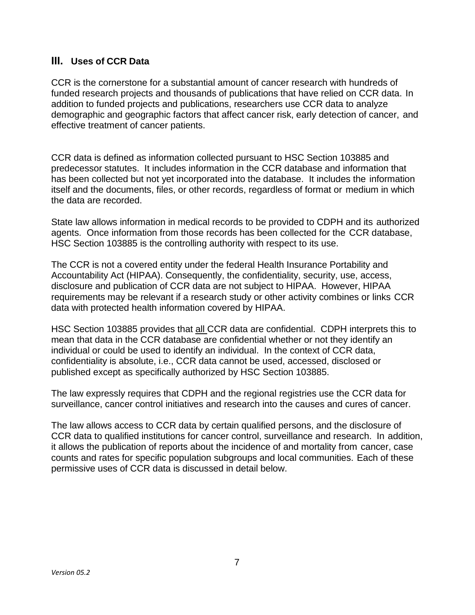## <span id="page-6-0"></span>**III. Uses of CCR Data**

CCR is the cornerstone for a substantial amount of cancer research with hundreds of funded research projects and thousands of publications that have relied on CCR data. In addition to funded projects and publications, researchers use CCR data to analyze demographic and geographic factors that affect cancer risk, early detection of cancer, and effective treatment of cancer patients.

CCR data is defined as information collected pursuant to HSC Section 103885 and predecessor statutes. It includes information in the CCR database and information that has been collected but not yet incorporated into the database. It includes the information itself and the documents, files, or other records, regardless of format or medium in which the data are recorded.

State law allows information in medical records to be provided to CDPH and its authorized agents. Once information from those records has been collected for the CCR database, HSC Section 103885 is the controlling authority with respect to its use.

The CCR is not a covered entity under the federal Health Insurance Portability and Accountability Act (HIPAA). Consequently, the confidentiality, security, use, access, disclosure and publication of CCR data are not subject to HIPAA. However, HIPAA requirements may be relevant if a research study or other activity combines or links CCR data with protected health information covered by HIPAA.

HSC Section 103885 provides that all CCR data are confidential. CDPH interprets this to mean that data in the CCR database are confidential whether or not they identify an individual or could be used to identify an individual. In the context of CCR data, confidentiality is absolute, i.e., CCR data cannot be used, accessed, disclosed or published except as specifically authorized by HSC Section 103885.

The law expressly requires that CDPH and the regional registries use the CCR data for surveillance, cancer control initiatives and research into the causes and cures of cancer.

The law allows access to CCR data by certain qualified persons, and the disclosure of CCR data to qualified institutions for cancer control, surveillance and research. In addition, it allows the publication of reports about the incidence of and mortality from cancer, case counts and rates for specific population subgroups and local communities. Each of these permissive uses of CCR data is discussed in detail below.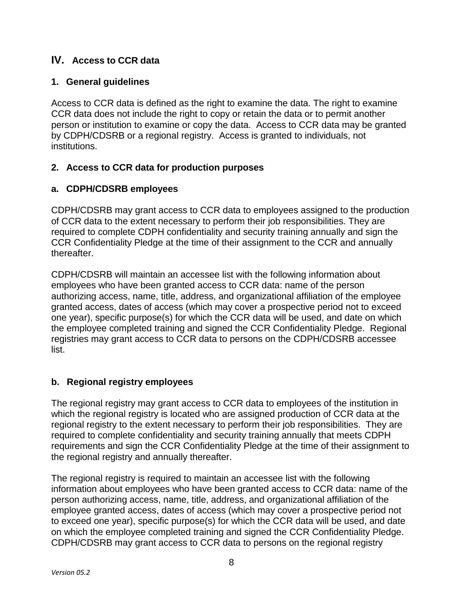## <span id="page-7-0"></span>**IV. Access to CCR data**

#### <span id="page-7-1"></span>**1. General guidelines**

Access to CCR data is defined as the right to examine the data. The right to examine CCR data does not include the right to copy or retain the data or to permit another person or institution to examine or copy the data. Access to CCR data may be granted by CDPH/CDSRB or a regional registry. Access is granted to individuals, not institutions.

## <span id="page-7-2"></span>**2. Access to CCR data for production purposes**

#### **a. CDPH/CDSRB employees**

CDPH/CDSRB may grant access to CCR data to employees assigned to the production of CCR data to the extent necessary to perform their job responsibilities. They are required to complete CDPH confidentiality and security training annually and sign the CCR Confidentiality Pledge at the time of their assignment to the CCR and annually thereafter.

CDPH/CDSRB will maintain an accessee list with the following information about employees who have been granted access to CCR data: name of the person authorizing access, name, title, address, and organizational affiliation of the employee granted access, dates of access (which may cover a prospective period not to exceed one year), specific purpose(s) for which the CCR data will be used, and date on which the employee completed training and signed the CCR Confidentiality Pledge. Regional registries may grant access to CCR data to persons on the CDPH/CDSRB accessee list.

## <span id="page-7-3"></span>**b. Regional registry employees**

The regional registry may grant access to CCR data to employees of the institution in which the regional registry is located who are assigned production of CCR data at the regional registry to the extent necessary to perform their job responsibilities. They are required to complete confidentiality and security training annually that meets CDPH requirements and sign the CCR Confidentiality Pledge at the time of their assignment to the regional registry and annually thereafter.

The regional registry is required to maintain an accessee list with the following information about employees who have been granted access to CCR data: name of the person authorizing access, name, title, address, and organizational affiliation of the employee granted access, dates of access (which may cover a prospective period not to exceed one year), specific purpose(s) for which the CCR data will be used, and date on which the employee completed training and signed the CCR Confidentiality Pledge. CDPH/CDSRB may grant access to CCR data to persons on the regional registry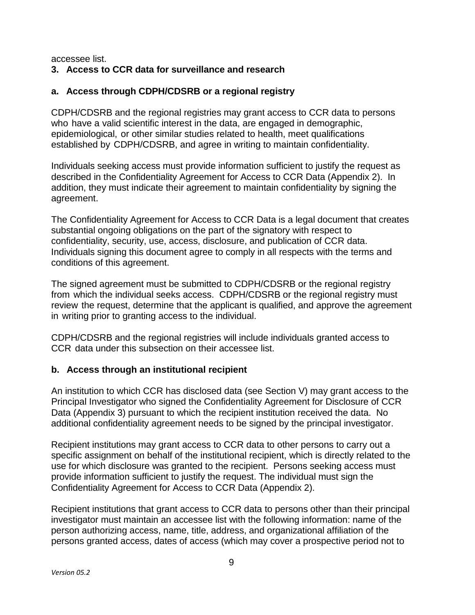accessee list.

#### <span id="page-8-0"></span>**3. Access to CCR data for surveillance and research**

#### **a. Access through CDPH/CDSRB or a regional registry**

CDPH/CDSRB and the regional registries may grant access to CCR data to persons who have a valid scientific interest in the data, are engaged in demographic, epidemiological, or other similar studies related to health, meet qualifications established by CDPH/CDSRB, and agree in writing to maintain confidentiality.

Individuals seeking access must provide information sufficient to justify the request as described in the Confidentiality Agreement for Access to CCR Data [\(Appendix](http://www.ccrcal.org/pdf/Data_Statistics/Appendix_2_v04.5.pdf) 2). In addition, they must indicate their agreement to maintain confidentiality by signing the agreement.

The Confidentiality Agreement for Access to CCR Data is a legal document that creates substantial ongoing obligations on the part of the signatory with respect to confidentiality, security, use, access, disclosure, and publication of CCR data. Individuals signing this document agree to comply in all respects with the terms and conditions of this agreement.

The signed agreement must be submitted to CDPH/CDSRB or the regional registry from which the individual seeks access. CDPH/CDSRB or the regional registry must review the request, determine that the applicant is qualified, and approve the agreement in writing prior to granting access to the individual.

CDPH/CDSRB and the regional registries will include individuals granted access to CCR data under this subsection on their accessee list.

#### **b. Access through an institutional recipient**

An institution to which CCR has disclosed data (see Section V) may grant access to the Principal Investigator who signed the Confidentiality Agreement for Disclosure of CCR Data [\(Appendix](http://www.ccrcal.org/pdf/Data_Statistics/Appendix_3_v5.1.pdf) 3) pursuant to which the recipient institution received the data. No additional confidentiality agreement needs to be signed by the principal investigator.

Recipient institutions may grant access to CCR data to other persons to carry out a specific assignment on behalf of the institutional recipient, which is directly related to the use for which disclosure was granted to the recipient. Persons seeking access must provide information sufficient to justify the request. The individual must sign the Confidentiality Agreement for Access to CCR Data [\(Appendix 2\)](http://www.ccrcal.org/pdf/Data_Statistics/Appendix_2_v04.5.pdf).

Recipient institutions that grant access to CCR data to persons other than their principal investigator must maintain an accessee list with the following information: name of the person authorizing access, name, title, address, and organizational affiliation of the persons granted access, dates of access (which may cover a prospective period not to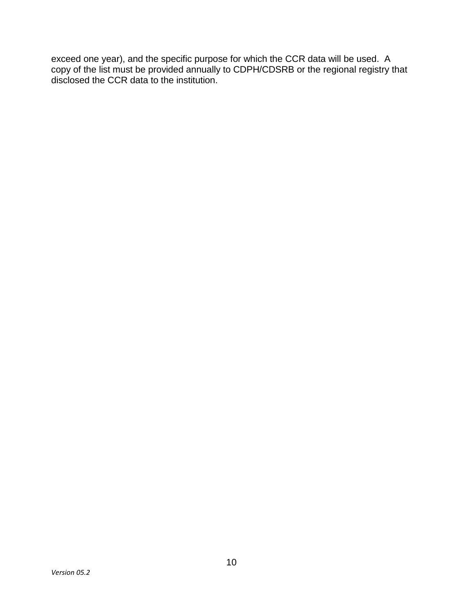exceed one year), and the specific purpose for which the CCR data will be used. A copy of the list must be provided annually to CDPH/CDSRB or the regional registry that disclosed the CCR data to the institution.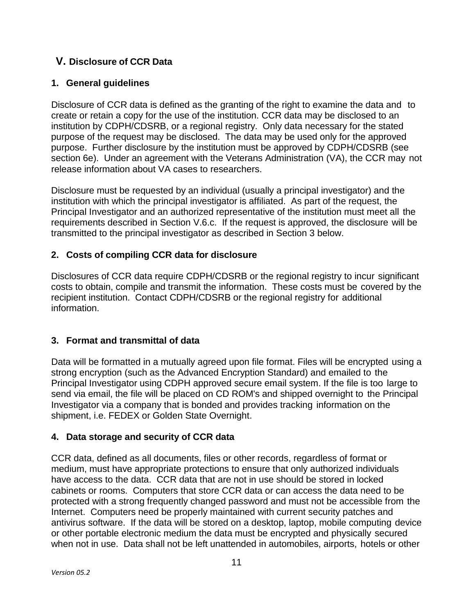## <span id="page-10-0"></span>**V. Disclosure of CCR Data**

## <span id="page-10-1"></span>**1. General guidelines**

Disclosure of CCR data is defined as the granting of the right to examine the data and to create or retain a copy for the use of the institution. CCR data may be disclosed to an institution by CDPH/CDSRB, or a regional registry. Only data necessary for the stated purpose of the request may be disclosed. The data may be used only for the approved purpose. Further disclosure by the institution must be approved by CDPH/CDSRB (see section 6e). Under an agreement with the Veterans Administration (VA), the CCR may not release information about VA cases to researchers.

Disclosure must be requested by an individual (usually a principal investigator) and the institution with which the principal investigator is affiliated. As part of the request, the Principal Investigator and an authorized representative of the institution must meet all the requirements described in Section V.6.c. If the request is approved, the disclosure will be transmitted to the principal investigator as described in Section 3 below.

## <span id="page-10-2"></span>**2. Costs of compiling CCR data for disclosure**

Disclosures of CCR data require CDPH/CDSRB or the regional registry to incur significant costs to obtain, compile and transmit the information. These costs must be covered by the recipient institution. Contact CDPH/CDSRB or the regional registry for additional information.

## <span id="page-10-3"></span>**3. Format and transmittal of data**

Data will be formatted in a mutually agreed upon file format. Files will be encrypted using a strong encryption (such as the Advanced Encryption Standard) and emailed to the Principal Investigator using CDPH approved secure email system. If the file is too large to send via email, the file will be placed on CD ROM's and shipped overnight to the Principal Investigator via a company that is bonded and provides tracking information on the shipment, i.e. FEDEX or Golden State Overnight.

## <span id="page-10-4"></span>**4. Data storage and security of CCR data**

CCR data, defined as all documents, files or other records, regardless of format or medium, must have appropriate protections to ensure that only authorized individuals have access to the data. CCR data that are not in use should be stored in locked cabinets or rooms. Computers that store CCR data or can access the data need to be protected with a strong frequently changed password and must not be accessible from the Internet. Computers need be properly maintained with current security patches and antivirus software. If the data will be stored on a desktop, laptop, mobile computing device or other portable electronic medium the data must be encrypted and physically secured when not in use. Data shall not be left unattended in automobiles, airports, hotels or other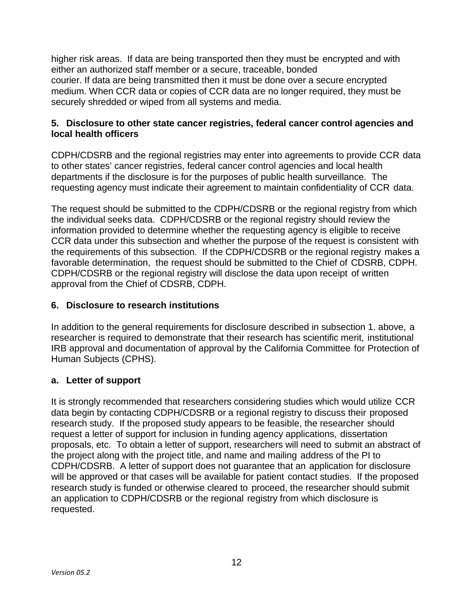higher risk areas. If data are being transported then they must be encrypted and with either an authorized staff member or a secure, traceable, bonded courier. If data are being transmitted then it must be done over a secure encrypted medium. When CCR data or copies of CCR data are no longer required, they must be securely shredded or wiped from all systems and media.

#### <span id="page-11-0"></span>**5. Disclosure to other state cancer registries, federal cancer control agencies and local health officers**

CDPH/CDSRB and the regional registries may enter into agreements to provide CCR data to other states' cancer registries, federal cancer control agencies and local health departments if the disclosure is for the purposes of public health surveillance. The requesting agency must indicate their agreement to maintain confidentiality of CCR data.

The request should be submitted to the CDPH/CDSRB or the regional registry from which the individual seeks data. CDPH/CDSRB or the regional registry should review the information provided to determine whether the requesting agency is eligible to receive CCR data under this subsection and whether the purpose of the request is consistent with the requirements of this subsection. If the CDPH/CDSRB or the regional registry makes a favorable determination, the request should be submitted to the Chief of CDSRB, CDPH. CDPH/CDSRB or the regional registry will disclose the data upon receipt of written approval from the Chief of CDSRB, CDPH.

#### <span id="page-11-1"></span>**6. Disclosure to research institutions**

In addition to the general requirements for disclosure described in subsection 1. above, a researcher is required to demonstrate that their research has scientific merit, institutional IRB approval and documentation of approval by the California Committee for Protection of Human Subjects (CPHS).

#### **a. Letter of support**

It is strongly recommended that researchers considering studies which would utilize CCR data begin by contacting CDPH/CDSRB or a regional registry to discuss their proposed research study. If the proposed study appears to be feasible, the researcher should request a letter of support for inclusion in funding agency applications, dissertation proposals, etc. To obtain a letter of support, researchers will need to submit an abstract of the project along with the project title, and name and mailing address of the PI to CDPH/CDSRB. A letter of support does not guarantee that an application for disclosure will be approved or that cases will be available for patient contact studies. If the proposed research study is funded or otherwise cleared to proceed, the researcher should submit an application to CDPH/CDSRB or the regional registry from which disclosure is requested.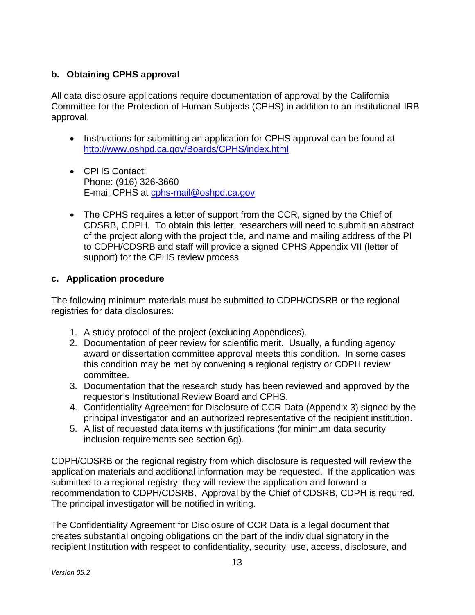## **b. Obtaining CPHS approval**

All data disclosure applications require documentation of approval by the California Committee for the Protection of Human Subjects (CPHS) in addition to an institutional IRB approval.

- Instructions for submitting an application for CPHS approval can be found at <http://www.oshpd.ca.gov/Boards/CPHS/index.html>
- CPHS Contact: Phone: (916) 326-3660 E-mail CPHS at [cphs-mail@oshpd.ca.gov](mailto:cphs-mail@oshpd.ca.gov)
- The CPHS requires a letter of support from the CCR, signed by the Chief of CDSRB, CDPH. To obtain this letter, researchers will need to submit an abstract of the project along with the project title, and name and mailing address of the PI to CDPH/CDSRB and staff will provide a signed CPHS Appendix VII (letter of support) for the CPHS review process.

## **c. Application procedure**

The following minimum materials must be submitted to CDPH/CDSRB or the regional registries for data disclosures:

- 1. A study protocol of the project (excluding Appendices).
- 2. Documentation of peer review for scientific merit. Usually, a funding agency award or dissertation committee approval meets this condition. In some cases this condition may be met by convening a regional registry or CDPH review committee.
- 3. Documentation that the research study has been reviewed and approved by the requestor's Institutional Review Board and CPHS.
- 4. Confidentiality Agreement for Disclosure of CCR Data [\(Appendix](http://www.ccrcal.org/pdf/Data_Statistics/Appendix_3_v5.1.pdf) 3) signed by the principal investigator and an authorized representative of the recipient institution.
- 5. A list of requested data items with justifications (for minimum data security inclusion requirements see section 6g).

CDPH/CDSRB or the regional registry from which disclosure is requested will review the application materials and additional information may be requested. If the application was submitted to a regional registry, they will review the application and forward a recommendation to CDPH/CDSRB. Approval by the Chief of CDSRB, CDPH is required. The principal investigator will be notified in writing.

The Confidentiality Agreement for Disclosure of CCR Data is a legal document that creates substantial ongoing obligations on the part of the individual signatory in the recipient Institution with respect to confidentiality, security, use, access, disclosure, and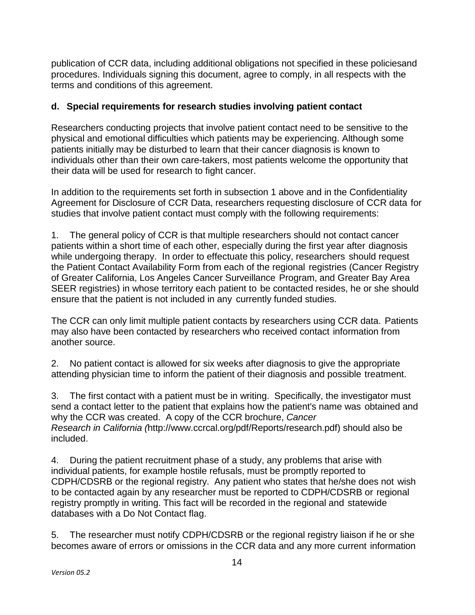publication of CCR data, including additional obligations not specified in these policiesand procedures. Individuals signing this document, agree to comply, in all respects with the terms and conditions of this agreement.

#### **d. Special requirements for research studies involving patient contact**

Researchers conducting projects that involve patient contact need to be sensitive to the physical and emotional difficulties which patients may be experiencing. Although some patients initially may be disturbed to learn that their cancer diagnosis is known to individuals other than their own care-takers, most patients welcome the opportunity that their data will be used for research to fight cancer.

In addition to the requirements set forth in subsection 1 above and in the Confidentiality Agreement for Disclosure of CCR Data, researchers requesting disclosure of CCR data for studies that involve patient contact must comply with the following requirements:

1. The general policy of CCR is that multiple researchers should not contact cancer patients within a short time of each other, especially during the first year after diagnosis while undergoing therapy. In order to effectuate this policy, researchers should request the Patient Contact Availability Form from each of the regional registries (Cancer Registry of Greater California, Los Angeles Cancer Surveillance Program, and Greater Bay Area SEER registries) in whose territory each patient to be contacted resides, he or she should ensure that the patient is not included in any currently funded studies.

The CCR can only limit multiple patient contacts by researchers using CCR data. Patients may also have been contacted by researchers who received contact information from another source.

2. No patient contact is allowed for six weeks after diagnosis to give the appropriate attending physician time to inform the patient of their diagnosis and possible treatment.

3. The first contact with a patient must be in writing. Specifically, the investigator must send a contact letter to the patient that explains how the patient's name was obtained and why the CCR was created. A copy of the CCR brochure, *Cancer Research in California (*[http://www.ccrcal.org/pdf/Reports/research.pdf\)](http://www.ccrcal.org/pdf/Reports/research.pdf) should also be included.

4. During the patient recruitment phase of a study, any problems that arise with individual patients, for example hostile refusals, must be promptly reported to CDPH/CDSRB or the regional registry. Any patient who states that he/she does not wish to be contacted again by any researcher must be reported to CDPH/CDSRB or regional registry promptly in writing. This fact will be recorded in the regional and statewide databases with a Do Not Contact flag.

5. The researcher must notify CDPH/CDSRB or the regional registry liaison if he or she becomes aware of errors or omissions in the CCR data and any more current information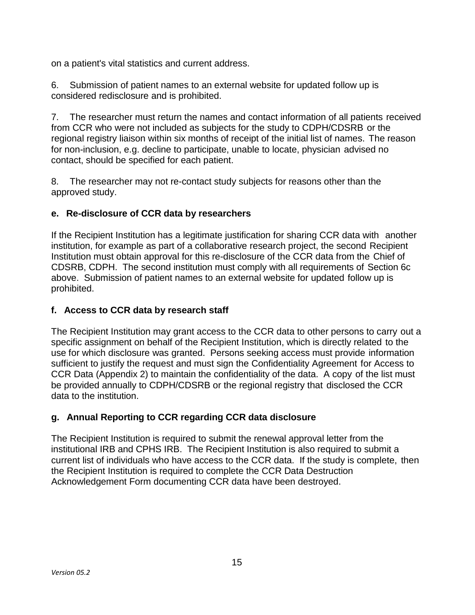on a patient's vital statistics and current address.

6. Submission of patient names to an external website for updated follow up is considered redisclosure and is prohibited.

7. The researcher must return the names and contact information of all patients received from CCR who were not included as subjects for the study to CDPH/CDSRB or the regional registry liaison within six months of receipt of the initial list of names. The reason for non-inclusion, e.g. decline to participate, unable to locate, physician advised no contact, should be specified for each patient.

8. The researcher may not re-contact study subjects for reasons other than the approved study.

## **e. Re-disclosure of CCR data by researchers**

If the Recipient Institution has a legitimate justification for sharing CCR data with another institution, for example as part of a collaborative research project, the second Recipient Institution must obtain approval for this re-disclosure of the CCR data from the Chief of CDSRB, CDPH. The second institution must comply with all requirements of Section 6c above. Submission of patient names to an external website for updated follow up is prohibited.

## **f. Access to CCR data by research staff**

The Recipient Institution may grant access to the CCR data to other persons to carry out a specific assignment on behalf of the Recipient Institution, which is directly related to the use for which disclosure was granted. Persons seeking access must provide information sufficient to justify the request and must sign the Confidentiality Agreement for Access to CCR Data [\(Appendix](http://www.ccrcal.org/pdf/Data_Statistics/Appendix_2_v04.5.pdf) 2) to maintain the confidentiality of the data. A copy of the list must be provided annually to CDPH/CDSRB or the regional registry that disclosed the CCR data to the institution.

## **g. Annual Reporting to CCR regarding CCR data disclosure**

The Recipient Institution is required to submit the renewal approval letter from the institutional IRB and CPHS IRB. The Recipient Institution is also required to submit a current list of individuals who have access to the CCR data. If the study is complete, then the Recipient Institution is required to complete the CCR Data Destruction Acknowledgement Form documenting CCR data have been destroyed.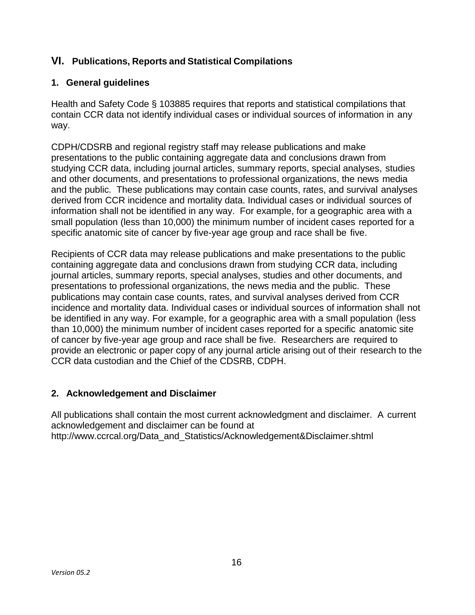## <span id="page-15-0"></span>**VI. Publications, Reports and Statistical Compilations**

## <span id="page-15-1"></span>**1. General guidelines**

Health and Safety Code § 103885 requires that reports and statistical compilations that contain CCR data not identify individual cases or individual sources of information in any way.

CDPH/CDSRB and regional registry staff may release publications and make presentations to the public containing aggregate data and conclusions drawn from studying CCR data, including journal articles, summary reports, special analyses, studies and other documents, and presentations to professional organizations, the news media and the public. These publications may contain case counts, rates, and survival analyses derived from CCR incidence and mortality data. Individual cases or individual sources of information shall not be identified in any way. For example, for a geographic area with a small population (less than 10,000) the minimum number of incident cases reported for a specific anatomic site of cancer by five-year age group and race shall be five.

Recipients of CCR data may release publications and make presentations to the public containing aggregate data and conclusions drawn from studying CCR data, including journal articles, summary reports, special analyses, studies and other documents, and presentations to professional organizations, the news media and the public. These publications may contain case counts, rates, and survival analyses derived from CCR incidence and mortality data. Individual cases or individual sources of information shall not be identified in any way. For example, for a geographic area with a small population (less than 10,000) the minimum number of incident cases reported for a specific anatomic site of cancer by five-year age group and race shall be five. Researchers are required to provide an electronic or paper copy of any journal article arising out of their research to the CCR data custodian and the Chief of the CDSRB, CDPH.

## <span id="page-15-2"></span>**2. Acknowledgement and Disclaimer**

All publications shall contain the most current acknowledgment and disclaimer. A current acknowledgement and disclaimer can be found at [http://www.ccrcal.org/Data\\_and\\_Statistics/Acknowledgement&Disclaimer.shtml](http://www.ccrcal.org/Data_and_Statistics/Acknowledgement%26Disclaimer.shtml)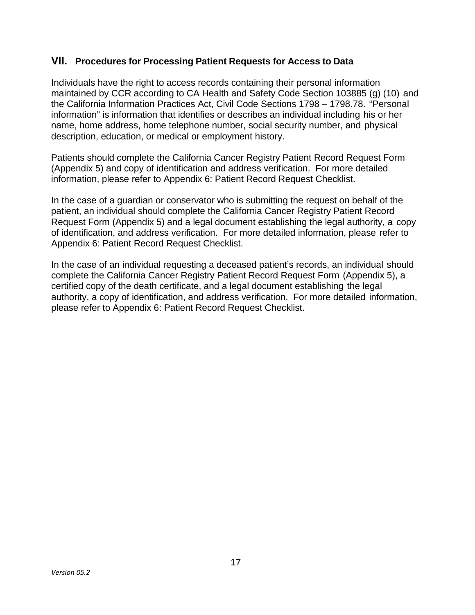#### <span id="page-16-0"></span>**VII. Procedures for Processing Patient Requests for Access to Data**

Individuals have the right to access records containing their personal information maintained by CCR according to CA Health and Safety Code Section 103885 (g) (10) and the California Information Practices Act, Civil Code Sections 1798 – 1798.78. "Personal information" is information that identifies or describes an individual including his or her name, home address, home telephone number, social security number, and physical description, education, or medical or employment history.

Patients should complete the California Cancer Registry Patient Record Request Form [\(Appendix 5\)](http://www.ccrcal.org/pdf/Data_Statistics/Appendix_5_PatientRequestForm.pdf) and copy of identification and address verification. For more detailed information, please refer to [Appendix](http://www.ccrcal.org/pdf/Data_Statistics/Appendix_6_PatientRequestChecklist.pdf) 6: Patient Record Request Checklist.

In the case of a guardian or conservator who is submitting the request on behalf of the patient, an individual should complete the California Cancer Registry Patient Record Request Form [\(Appendix](http://www.ccrcal.org/pdf/Data_Statistics/Appendix_5_PatientRequestForm.pdf) 5) and a legal document establishing the legal authority, a copy of identification, and address verification. For more detailed information, please refer to [Appendix](http://www.ccrcal.org/pdf/Data_Statistics/Appendix_6_PatientRequestChecklist.pdf) 6: Patient Record Request Checklist.

In the case of an individual requesting a deceased patient's records, an individual should complete the California Cancer Registry Patient Record Request Form [\(Appendix 5\)](http://www.ccrcal.org/pdf/Data_Statistics/Appendix_5_PatientRequestForm.pdf), a certified copy of the death certificate, and a legal document establishing the legal authority, a copy of identification, and address verification. For more detailed information, please refer to [Appendix](http://www.ccrcal.org/pdf/Data_Statistics/Appendix_6_PatientRequestChecklist.pdf) 6: Patient Record Request Checklist.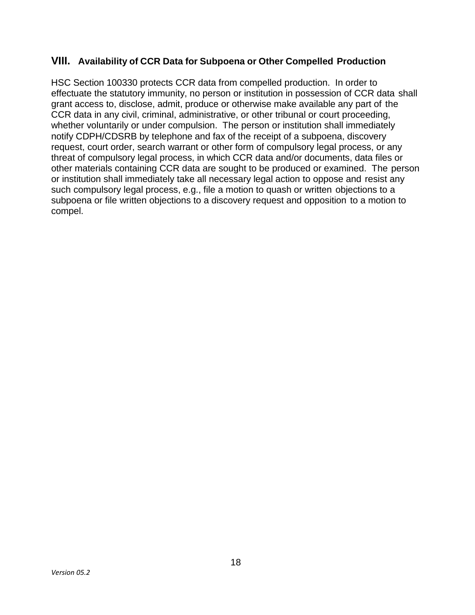#### <span id="page-17-0"></span>**VIII. Availability of CCR Data for Subpoena or Other Compelled Production**

HSC Section 100330 protects CCR data from compelled production. In order to effectuate the statutory immunity, no person or institution in possession of CCR data shall grant access to, disclose, admit, produce or otherwise make available any part of the CCR data in any civil, criminal, administrative, or other tribunal or court proceeding, whether voluntarily or under compulsion. The person or institution shall immediately notify CDPH/CDSRB by telephone and fax of the receipt of a subpoena, discovery request, court order, search warrant or other form of compulsory legal process, or any threat of compulsory legal process, in which CCR data and/or documents, data files or other materials containing CCR data are sought to be produced or examined. The person or institution shall immediately take all necessary legal action to oppose and resist any such compulsory legal process, e.g., file a motion to quash or written objections to a subpoena or file written objections to a discovery request and opposition to a motion to compel.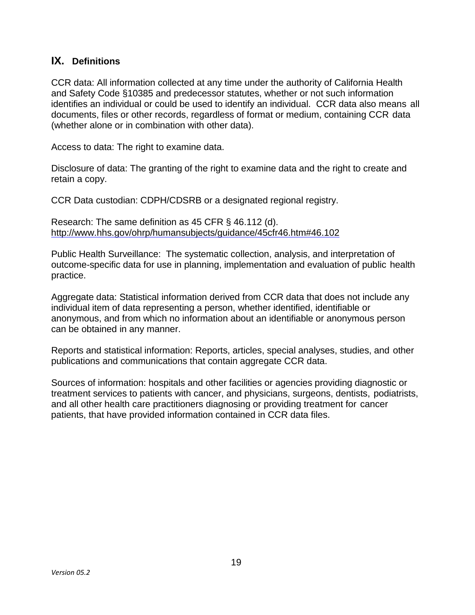## <span id="page-18-0"></span>**IX. Definitions**

CCR data: All information collected at any time under the authority of California Health and Safety Code §10385 and predecessor statutes, whether or not such information identifies an individual or could be used to identify an individual. CCR data also means all documents, files or other records, regardless of format or medium, containing CCR data (whether alone or in combination with other data).

Access to data: The right to examine data.

Disclosure of data: The granting of the right to examine data and the right to create and retain a copy.

CCR Data custodian: CDPH/CDSRB or a designated regional registry.

Research: The same definition as 45 CFR § 46.112 (d). [http://www.hhs.gov/ohrp/humansubjects/guidance/45cfr46.htm#46.102](http://www.hhs.gov/ohrp/humansubjects/guidance/45cfr46.htm%2346.102)

Public Health Surveillance: The systematic collection, analysis, and interpretation of outcome-specific data for use in planning, implementation and evaluation of public health practice.

Aggregate data: Statistical information derived from CCR data that does not include any individual item of data representing a person, whether identified, identifiable or anonymous, and from which no information about an identifiable or anonymous person can be obtained in any manner.

Reports and statistical information: Reports, articles, special analyses, studies, and other publications and communications that contain aggregate CCR data.

Sources of information: hospitals and other facilities or agencies providing diagnostic or treatment services to patients with cancer, and physicians, surgeons, dentists, podiatrists, and all other health care practitioners diagnosing or providing treatment for cancer patients, that have provided information contained in CCR data files.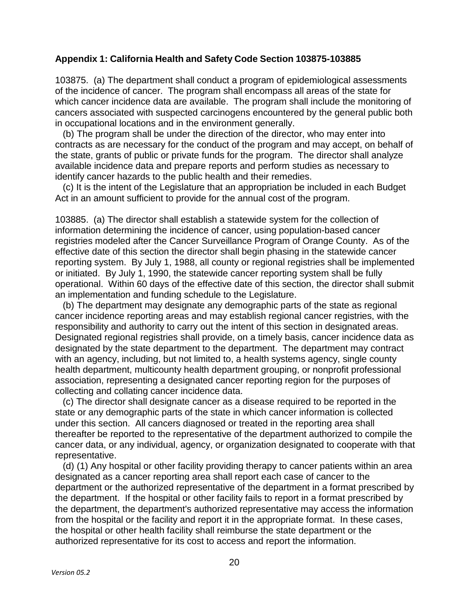#### <span id="page-19-0"></span>**Appendix 1: California Health and Safety Code Section 103875-103885**

103875. (a) The department shall conduct a program of epidemiological assessments of the incidence of cancer. The program shall encompass all areas of the state for which cancer incidence data are available. The program shall include the monitoring of cancers associated with suspected carcinogens encountered by the general public both in occupational locations and in the environment generally.

(b) The program shall be under the direction of the director, who may enter into contracts as are necessary for the conduct of the program and may accept, on behalf of the state, grants of public or private funds for the program. The director shall analyze available incidence data and prepare reports and perform studies as necessary to identify cancer hazards to the public health and their remedies.

(c) It is the intent of the Legislature that an appropriation be included in each Budget Act in an amount sufficient to provide for the annual cost of the program.

103885. (a) The director shall establish a statewide system for the collection of information determining the incidence of cancer, using population-based cancer registries modeled after the Cancer Surveillance Program of Orange County. As of the effective date of this section the director shall begin phasing in the statewide cancer reporting system. By July 1, 1988, all county or regional registries shall be implemented or initiated. By July 1, 1990, the statewide cancer reporting system shall be fully operational. Within 60 days of the effective date of this section, the director shall submit an implementation and funding schedule to the Legislature.

(b) The department may designate any demographic parts of the state as regional cancer incidence reporting areas and may establish regional cancer registries, with the responsibility and authority to carry out the intent of this section in designated areas. Designated regional registries shall provide, on a timely basis, cancer incidence data as designated by the state department to the department. The department may contract with an agency, including, but not limited to, a health systems agency, single county health department, multicounty health department grouping, or nonprofit professional association, representing a designated cancer reporting region for the purposes of collecting and collating cancer incidence data.

(c) The director shall designate cancer as a disease required to be reported in the state or any demographic parts of the state in which cancer information is collected under this section. All cancers diagnosed or treated in the reporting area shall thereafter be reported to the representative of the department authorized to compile the cancer data, or any individual, agency, or organization designated to cooperate with that representative.

(d) (1) Any hospital or other facility providing therapy to cancer patients within an area designated as a cancer reporting area shall report each case of cancer to the department or the authorized representative of the department in a format prescribed by the department. If the hospital or other facility fails to report in a format prescribed by the department, the department's authorized representative may access the information from the hospital or the facility and report it in the appropriate format. In these cases, the hospital or other health facility shall reimburse the state department or the authorized representative for its cost to access and report the information.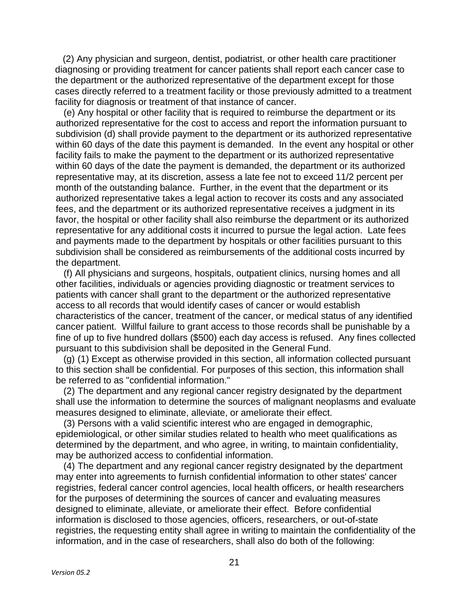(2) Any physician and surgeon, dentist, podiatrist, or other health care practitioner diagnosing or providing treatment for cancer patients shall report each cancer case to the department or the authorized representative of the department except for those cases directly referred to a treatment facility or those previously admitted to a treatment facility for diagnosis or treatment of that instance of cancer.

(e) Any hospital or other facility that is required to reimburse the department or its authorized representative for the cost to access and report the information pursuant to subdivision (d) shall provide payment to the department or its authorized representative within 60 days of the date this payment is demanded. In the event any hospital or other facility fails to make the payment to the department or its authorized representative within 60 days of the date the payment is demanded, the department or its authorized representative may, at its discretion, assess a late fee not to exceed 11/2 percent per month of the outstanding balance. Further, in the event that the department or its authorized representative takes a legal action to recover its costs and any associated fees, and the department or its authorized representative receives a judgment in its favor, the hospital or other facility shall also reimburse the department or its authorized representative for any additional costs it incurred to pursue the legal action. Late fees and payments made to the department by hospitals or other facilities pursuant to this subdivision shall be considered as reimbursements of the additional costs incurred by the department.

(f) All physicians and surgeons, hospitals, outpatient clinics, nursing homes and all other facilities, individuals or agencies providing diagnostic or treatment services to patients with cancer shall grant to the department or the authorized representative access to all records that would identify cases of cancer or would establish characteristics of the cancer, treatment of the cancer, or medical status of any identified cancer patient. Willful failure to grant access to those records shall be punishable by a fine of up to five hundred dollars (\$500) each day access is refused. Any fines collected pursuant to this subdivision shall be deposited in the General Fund.

(g) (1) Except as otherwise provided in this section, all information collected pursuant to this section shall be confidential. For purposes of this section, this information shall be referred to as "confidential information."

(2) The department and any regional cancer registry designated by the department shall use the information to determine the sources of malignant neoplasms and evaluate measures designed to eliminate, alleviate, or ameliorate their effect.

(3) Persons with a valid scientific interest who are engaged in demographic, epidemiological, or other similar studies related to health who meet qualifications as determined by the department, and who agree, in writing, to maintain confidentiality, may be authorized access to confidential information.

(4) The department and any regional cancer registry designated by the department may enter into agreements to furnish confidential information to other states' cancer registries, federal cancer control agencies, local health officers, or health researchers for the purposes of determining the sources of cancer and evaluating measures designed to eliminate, alleviate, or ameliorate their effect. Before confidential information is disclosed to those agencies, officers, researchers, or out-of-state registries, the requesting entity shall agree in writing to maintain the confidentiality of the information, and in the case of researchers, shall also do both of the following: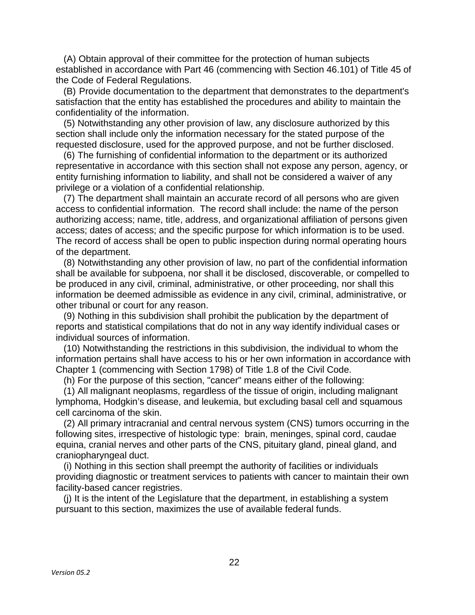(A) Obtain approval of their committee for the protection of human subjects established in accordance with Part 46 (commencing with Section 46.101) of Title 45 of the Code of Federal Regulations.

(B) Provide documentation to the department that demonstrates to the department's satisfaction that the entity has established the procedures and ability to maintain the confidentiality of the information.

(5) Notwithstanding any other provision of law, any disclosure authorized by this section shall include only the information necessary for the stated purpose of the requested disclosure, used for the approved purpose, and not be further disclosed.

(6) The furnishing of confidential information to the department or its authorized representative in accordance with this section shall not expose any person, agency, or entity furnishing information to liability, and shall not be considered a waiver of any privilege or a violation of a confidential relationship.

(7) The department shall maintain an accurate record of all persons who are given access to confidential information. The record shall include: the name of the person authorizing access; name, title, address, and organizational affiliation of persons given access; dates of access; and the specific purpose for which information is to be used. The record of access shall be open to public inspection during normal operating hours of the department.

(8) Notwithstanding any other provision of law, no part of the confidential information shall be available for subpoena, nor shall it be disclosed, discoverable, or compelled to be produced in any civil, criminal, administrative, or other proceeding, nor shall this information be deemed admissible as evidence in any civil, criminal, administrative, or other tribunal or court for any reason.

(9) Nothing in this subdivision shall prohibit the publication by the department of reports and statistical compilations that do not in any way identify individual cases or individual sources of information.

(10) Notwithstanding the restrictions in this subdivision, the individual to whom the information pertains shall have access to his or her own information in accordance with Chapter 1 (commencing with Section 1798) of Title 1.8 of the Civil Code.

(h) For the purpose of this section, "cancer" means either of the following:

(1) All malignant neoplasms, regardless of the tissue of origin, including malignant lymphoma, Hodgkin's disease, and leukemia, but excluding basal cell and squamous cell carcinoma of the skin.

(2) All primary intracranial and central nervous system (CNS) tumors occurring in the following sites, irrespective of histologic type: brain, meninges, spinal cord, caudae equina, cranial nerves and other parts of the CNS, pituitary gland, pineal gland, and craniopharyngeal duct.

(i) Nothing in this section shall preempt the authority of facilities or individuals providing diagnostic or treatment services to patients with cancer to maintain their own facility-based cancer registries.

(j) It is the intent of the Legislature that the department, in establishing a system pursuant to this section, maximizes the use of available federal funds.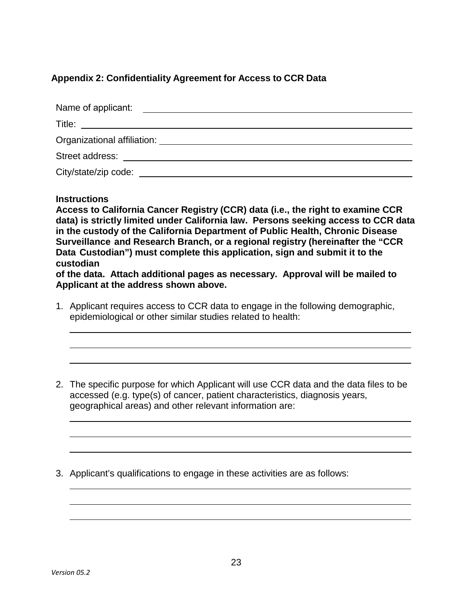#### <span id="page-22-0"></span>**Appendix 2: Confidentiality Agreement for Access to CCR Data**

| Name of applicant:<br><u> 1989 - Andrea State Barbara, amerikan personal di sebagai personal di sebagai personal di sebagai personal di</u>                                                                                    |  |  |  |
|--------------------------------------------------------------------------------------------------------------------------------------------------------------------------------------------------------------------------------|--|--|--|
| Title:<br><u> 1989 - Andrea Station Barbara, amerikan personal personal personal personal personal personal personal personal per</u>                                                                                          |  |  |  |
| Organizational affiliation: example of the contract of the contract of the contract of the contract of the contract of the contract of the contract of the contract of the contract of the contract of the contract of the con |  |  |  |
| Street address: The contract of the contract of the contract of the contract of the contract of the contract of the contract of the contract of the contract of the contract of the contract of the contract of the contract o |  |  |  |
|                                                                                                                                                                                                                                |  |  |  |

#### **Instructions**

**Access to California Cancer Registry (CCR) data (i.e., the right to examine CCR data) is strictly limited under California law. Persons seeking access to CCR data in the custody of the California Department of Public Health, Chronic Disease Surveillance and Research Branch, or a regional registry (hereinafter the "CCR Data Custodian") must complete this application, sign and submit it to the custodian**

**of the data. Attach additional pages as necessary. Approval will be mailed to Applicant at the address shown above.**

- 1. Applicant requires access to CCR data to engage in the following demographic, epidemiological or other similar studies related to health:
- 2. The specific purpose for which Applicant will use CCR data and the data files to be accessed (e.g. type(s) of cancer, patient characteristics, diagnosis years, geographical areas) and other relevant information are:

3. Applicant's qualifications to engage in these activities are as follows: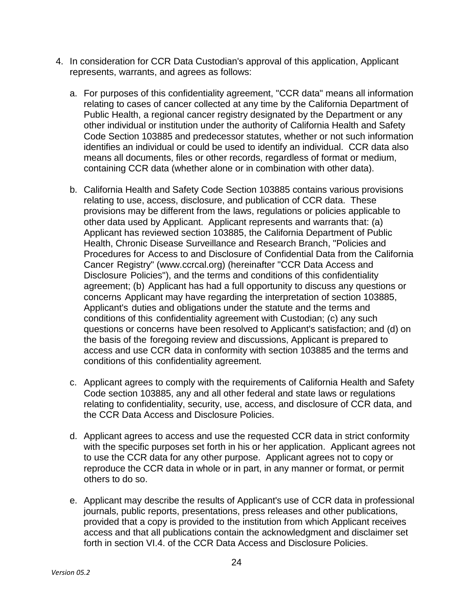- 4. In consideration for CCR Data Custodian's approval of this application, Applicant represents, warrants, and agrees as follows:
	- a. For purposes of this confidentiality agreement, "CCR data" means all information relating to cases of cancer collected at any time by the California Department of Public Health, a regional cancer registry designated by the Department or any other individual or institution under the authority of California Health and Safety Code Section 103885 and predecessor statutes, whether or not such information identifies an individual or could be used to identify an individual. CCR data also means all documents, files or other records, regardless of format or medium, containing CCR data (whether alone or in combination with other data).
	- b. California Health and Safety Code Section 103885 contains various provisions relating to use, access, disclosure, and publication of CCR data. These provisions may be different from the laws, regulations or policies applicable to other data used by Applicant. Applicant represents and warrants that: (a) Applicant has reviewed section 103885, the California Department of Public Health, Chronic Disease Surveillance and Research Branch, "Policies and Procedures for Access to and Disclosure of Confidential Data from the California Cancer Registry" [\(www.ccrcal.org\)](http://www.ccrcal.org/) (hereinafter "CCR Data Access and Disclosure Policies"), and the terms and conditions of this confidentiality agreement; (b) Applicant has had a full opportunity to discuss any questions or concerns Applicant may have regarding the interpretation of section 103885, Applicant's duties and obligations under the statute and the terms and conditions of this confidentiality agreement with Custodian; (c) any such questions or concerns have been resolved to Applicant's satisfaction; and (d) on the basis of the foregoing review and discussions, Applicant is prepared to access and use CCR data in conformity with section 103885 and the terms and conditions of this confidentiality agreement.
	- c. Applicant agrees to comply with the requirements of California Health and Safety Code section 103885, any and all other federal and state laws or regulations relating to confidentiality, security, use, access, and disclosure of CCR data, and the CCR Data Access and Disclosure Policies.
	- d. Applicant agrees to access and use the requested CCR data in strict conformity with the specific purposes set forth in his or her application. Applicant agrees not to use the CCR data for any other purpose. Applicant agrees not to copy or reproduce the CCR data in whole or in part, in any manner or format, or permit others to do so.
	- e. Applicant may describe the results of Applicant's use of CCR data in professional journals, public reports, presentations, press releases and other publications, provided that a copy is provided to the institution from which Applicant receives access and that all publications contain the acknowledgment and disclaimer set forth in section VI.4. of the CCR Data Access and Disclosure Policies.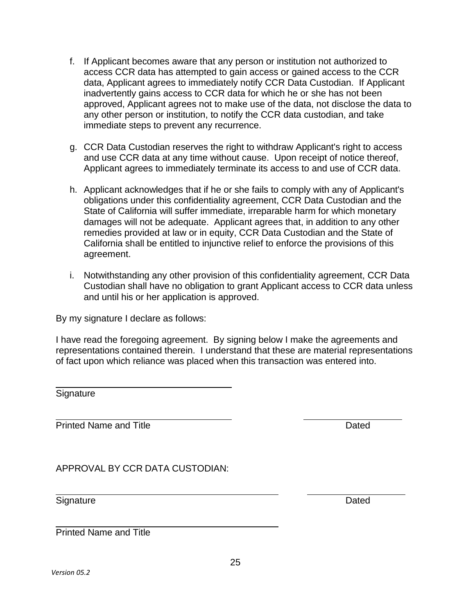- f. If Applicant becomes aware that any person or institution not authorized to access CCR data has attempted to gain access or gained access to the CCR data, Applicant agrees to immediately notify CCR Data Custodian. If Applicant inadvertently gains access to CCR data for which he or she has not been approved, Applicant agrees not to make use of the data, not disclose the data to any other person or institution, to notify the CCR data custodian, and take immediate steps to prevent any recurrence.
- g. CCR Data Custodian reserves the right to withdraw Applicant's right to access and use CCR data at any time without cause. Upon receipt of notice thereof, Applicant agrees to immediately terminate its access to and use of CCR data.
- h. Applicant acknowledges that if he or she fails to comply with any of Applicant's obligations under this confidentiality agreement, CCR Data Custodian and the State of California will suffer immediate, irreparable harm for which monetary damages will not be adequate. Applicant agrees that, in addition to any other remedies provided at law or in equity, CCR Data Custodian and the State of California shall be entitled to injunctive relief to enforce the provisions of this agreement.
- i. Notwithstanding any other provision of this confidentiality agreement, CCR Data Custodian shall have no obligation to grant Applicant access to CCR data unless and until his or her application is approved.

By my signature I declare as follows:

I have read the foregoing agreement. By signing below I make the agreements and representations contained therein. I understand that these are material representations of fact upon which reliance was placed when this transaction was entered into.

**Signature** 

Printed Name and Title **Dates and Title Contract Contract Contract Contract Contract Contract Contract Contract Contract Contract Contract Contract Contract Contract Contract Contract Contract Contract Contract Contract Co** 

APPROVAL BY CCR DATA CUSTODIAN:

Signature Dated

Printed Name and Title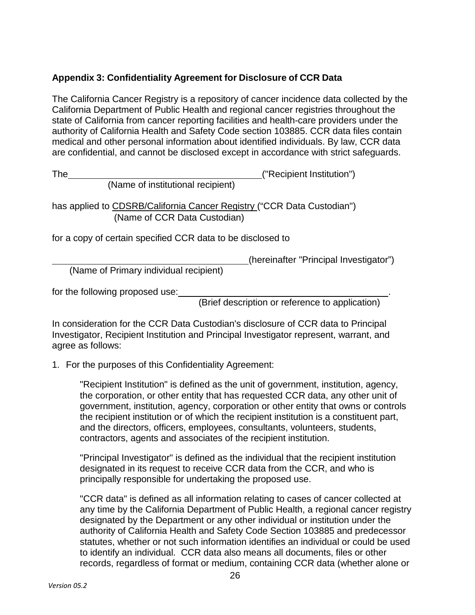#### <span id="page-25-0"></span>**Appendix 3: Confidentiality Agreement for Disclosure of CCR Data**

The California Cancer Registry is a repository of cancer incidence data collected by the California Department of Public Health and regional cancer registries throughout the state of California from cancer reporting facilities and health-care providers under the authority of California Health and Safety Code section 103885. CCR data files contain medical and other personal information about identified individuals. By law, CCR data are confidential, and cannot be disclosed except in accordance with strict safeguards.

The ("Recipient Institution")

(Name of institutional recipient)

has applied to CDSRB/California Cancer Registry ("CCR Data Custodian") (Name of CCR Data Custodian)

for a copy of certain specified CCR data to be disclosed to

(hereinafter "Principal Investigator")

(Name of Primary individual recipient)

for the following proposed use: .

(Brief description or reference to application)

In consideration for the CCR Data Custodian's disclosure of CCR data to Principal Investigator, Recipient Institution and Principal Investigator represent, warrant, and agree as follows:

1. For the purposes of this Confidentiality Agreement:

"Recipient Institution" is defined as the unit of government, institution, agency, the corporation, or other entity that has requested CCR data, any other unit of government, institution, agency, corporation or other entity that owns or controls the recipient institution or of which the recipient institution is a constituent part, and the directors, officers, employees, consultants, volunteers, students, contractors, agents and associates of the recipient institution.

"Principal Investigator" is defined as the individual that the recipient institution designated in its request to receive CCR data from the CCR, and who is principally responsible for undertaking the proposed use.

"CCR data" is defined as all information relating to cases of cancer collected at any time by the California Department of Public Health, a regional cancer registry designated by the Department or any other individual or institution under the authority of California Health and Safety Code Section 103885 and predecessor statutes, whether or not such information identifies an individual or could be used to identify an individual. CCR data also means all documents, files or other records, regardless of format or medium, containing CCR data (whether alone or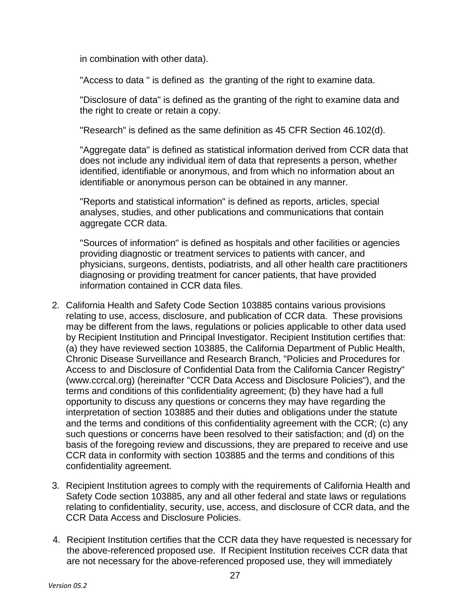in combination with other data).

"Access to data " is defined as the granting of the right to examine data.

"Disclosure of data" is defined as the granting of the right to examine data and the right to create or retain a copy.

"Research" is defined as the same definition as 45 CFR Section 46.102(d).

"Aggregate data" is defined as statistical information derived from CCR data that does not include any individual item of data that represents a person, whether identified, identifiable or anonymous, and from which no information about an identifiable or anonymous person can be obtained in any manner.

"Reports and statistical information" is defined as reports, articles, special analyses, studies, and other publications and communications that contain aggregate CCR data.

"Sources of information" is defined as hospitals and other facilities or agencies providing diagnostic or treatment services to patients with cancer, and physicians, surgeons, dentists, podiatrists, and all other health care practitioners diagnosing or providing treatment for cancer patients, that have provided information contained in CCR data files.

- 2. California Health and Safety Code Section 103885 contains various provisions relating to use, access, disclosure, and publication of CCR data. These provisions may be different from the laws, regulations or policies applicable to other data used by Recipient Institution and Principal Investigator. Recipient Institution certifies that: (a) they have reviewed section 103885, the California Department of Public Health, Chronic Disease Surveillance and Research Branch, "Policies and Procedures for Access to and Disclosure of Confidential Data from the California Cancer Registry" [\(www.ccrcal.org\)](http://www.ccrcal.org/) (hereinafter "CCR Data Access and Disclosure Policies"), and the terms and conditions of this confidentiality agreement; (b) they have had a full opportunity to discuss any questions or concerns they may have regarding the interpretation of section 103885 and their duties and obligations under the statute and the terms and conditions of this confidentiality agreement with the CCR; (c) any such questions or concerns have been resolved to their satisfaction; and (d) on the basis of the foregoing review and discussions, they are prepared to receive and use CCR data in conformity with section 103885 and the terms and conditions of this confidentiality agreement.
- 3. Recipient Institution agrees to comply with the requirements of California Health and Safety Code section 103885, any and all other federal and state laws or regulations relating to confidentiality, security, use, access, and disclosure of CCR data, and the CCR Data Access and Disclosure Policies.
- 4. Recipient Institution certifies that the CCR data they have requested is necessary for the above-referenced proposed use. If Recipient Institution receives CCR data that are not necessary for the above-referenced proposed use, they will immediately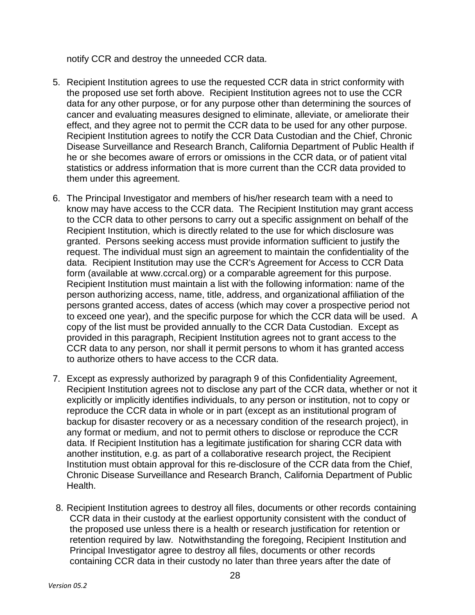notify CCR and destroy the unneeded CCR data.

- 5. Recipient Institution agrees to use the requested CCR data in strict conformity with the proposed use set forth above. Recipient Institution agrees not to use the CCR data for any other purpose, or for any purpose other than determining the sources of cancer and evaluating measures designed to eliminate, alleviate, or ameliorate their effect, and they agree not to permit the CCR data to be used for any other purpose. Recipient Institution agrees to notify the CCR Data Custodian and the Chief, Chronic Disease Surveillance and Research Branch, California Department of Public Health if he or she becomes aware of errors or omissions in the CCR data, or of patient vital statistics or address information that is more current than the CCR data provided to them under this agreement.
- 6. The Principal Investigator and members of his/her research team with a need to know may have access to the CCR data. The Recipient Institution may grant access to the CCR data to other persons to carry out a specific assignment on behalf of the Recipient Institution, which is directly related to the use for which disclosure was granted. Persons seeking access must provide information sufficient to justify the request. The individual must sign an agreement to maintain the confidentiality of the data. Recipient Institution may use the CCR's Agreement for Access to CCR Data form (available at [www.ccrcal.org\)](http://www.ccrcal.org/) or a comparable agreement for this purpose. Recipient Institution must maintain a list with the following information: name of the person authorizing access, name, title, address, and organizational affiliation of the persons granted access, dates of access (which may cover a prospective period not to exceed one year), and the specific purpose for which the CCR data will be used. A copy of the list must be provided annually to the CCR Data Custodian. Except as provided in this paragraph, Recipient Institution agrees not to grant access to the CCR data to any person, nor shall it permit persons to whom it has granted access to authorize others to have access to the CCR data.
- 7. Except as expressly authorized by paragraph 9 of this Confidentiality Agreement, Recipient Institution agrees not to disclose any part of the CCR data, whether or not it explicitly or implicitly identifies individuals, to any person or institution, not to copy or reproduce the CCR data in whole or in part (except as an institutional program of backup for disaster recovery or as a necessary condition of the research project), in any format or medium, and not to permit others to disclose or reproduce the CCR data. If Recipient Institution has a legitimate justification for sharing CCR data with another institution, e.g. as part of a collaborative research project, the Recipient Institution must obtain approval for this re-disclosure of the CCR data from the Chief, Chronic Disease Surveillance and Research Branch, California Department of Public Health.
- 8. Recipient Institution agrees to destroy all files, documents or other records containing CCR data in their custody at the earliest opportunity consistent with the conduct of the proposed use unless there is a health or research justification for retention or retention required by law. Notwithstanding the foregoing, Recipient Institution and Principal Investigator agree to destroy all files, documents or other records containing CCR data in their custody no later than three years after the date of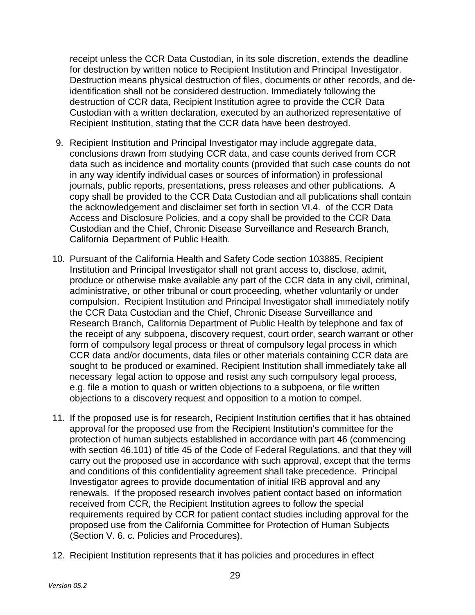receipt unless the CCR Data Custodian, in its sole discretion, extends the deadline for destruction by written notice to Recipient Institution and Principal Investigator. Destruction means physical destruction of files, documents or other records, and deidentification shall not be considered destruction. Immediately following the destruction of CCR data, Recipient Institution agree to provide the CCR Data Custodian with a written declaration, executed by an authorized representative of Recipient Institution, stating that the CCR data have been destroyed.

- 9. Recipient Institution and Principal Investigator may include aggregate data, conclusions drawn from studying CCR data, and case counts derived from CCR data such as incidence and mortality counts (provided that such case counts do not in any way identify individual cases or sources of information) in professional journals, public reports, presentations, press releases and other publications. A copy shall be provided to the CCR Data Custodian and all publications shall contain the acknowledgement and disclaimer set forth in section VI.4. of the CCR Data Access and Disclosure Policies, and a copy shall be provided to the CCR Data Custodian and the Chief, Chronic Disease Surveillance and Research Branch, California Department of Public Health.
- 10. Pursuant of the California Health and Safety Code section 103885, Recipient Institution and Principal Investigator shall not grant access to, disclose, admit, produce or otherwise make available any part of the CCR data in any civil, criminal, administrative, or other tribunal or court proceeding, whether voluntarily or under compulsion. Recipient Institution and Principal Investigator shall immediately notify the CCR Data Custodian and the Chief, Chronic Disease Surveillance and Research Branch, California Department of Public Health by telephone and fax of the receipt of any subpoena, discovery request, court order, search warrant or other form of compulsory legal process or threat of compulsory legal process in which CCR data and/or documents, data files or other materials containing CCR data are sought to be produced or examined. Recipient Institution shall immediately take all necessary legal action to oppose and resist any such compulsory legal process, e.g. file a motion to quash or written objections to a subpoena, or file written objections to a discovery request and opposition to a motion to compel.
- 11. If the proposed use is for research, Recipient Institution certifies that it has obtained approval for the proposed use from the Recipient Institution's committee for the protection of human subjects established in accordance with part 46 (commencing with section 46.101) of title 45 of the Code of Federal Regulations, and that they will carry out the proposed use in accordance with such approval, except that the terms and conditions of this confidentiality agreement shall take precedence. Principal Investigator agrees to provide documentation of initial IRB approval and any renewals. If the proposed research involves patient contact based on information received from CCR, the Recipient Institution agrees to follow the special requirements required by CCR for patient contact studies including approval for the proposed use from the California Committee for Protection of Human Subjects (Section V. 6. c. Policies and Procedures).
- 12. Recipient Institution represents that it has policies and procedures in effect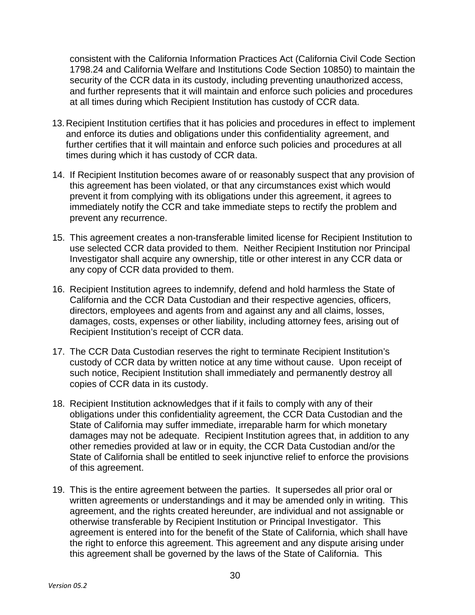consistent with the California Information Practices Act (California Civil Code Section 1798.24 and California Welfare and Institutions Code Section 10850) to maintain the security of the CCR data in its custody, including preventing unauthorized access, and further represents that it will maintain and enforce such policies and procedures at all times during which Recipient Institution has custody of CCR data.

- 13. Recipient Institution certifies that it has policies and procedures in effect to implement and enforce its duties and obligations under this confidentiality agreement, and further certifies that it will maintain and enforce such policies and procedures at all times during which it has custody of CCR data.
- 14. If Recipient Institution becomes aware of or reasonably suspect that any provision of this agreement has been violated, or that any circumstances exist which would prevent it from complying with its obligations under this agreement, it agrees to immediately notify the CCR and take immediate steps to rectify the problem and prevent any recurrence.
- 15. This agreement creates a non-transferable limited license for Recipient Institution to use selected CCR data provided to them. Neither Recipient Institution nor Principal Investigator shall acquire any ownership, title or other interest in any CCR data or any copy of CCR data provided to them.
- 16. Recipient Institution agrees to indemnify, defend and hold harmless the State of California and the CCR Data Custodian and their respective agencies, officers, directors, employees and agents from and against any and all claims, losses, damages, costs, expenses or other liability, including attorney fees, arising out of Recipient Institution's receipt of CCR data.
- 17. The CCR Data Custodian reserves the right to terminate Recipient Institution's custody of CCR data by written notice at any time without cause. Upon receipt of such notice, Recipient Institution shall immediately and permanently destroy all copies of CCR data in its custody.
- 18. Recipient Institution acknowledges that if it fails to comply with any of their obligations under this confidentiality agreement, the CCR Data Custodian and the State of California may suffer immediate, irreparable harm for which monetary damages may not be adequate. Recipient Institution agrees that, in addition to any other remedies provided at law or in equity, the CCR Data Custodian and/or the State of California shall be entitled to seek injunctive relief to enforce the provisions of this agreement.
- 19. This is the entire agreement between the parties. It supersedes all prior oral or written agreements or understandings and it may be amended only in writing. This agreement, and the rights created hereunder, are individual and not assignable or otherwise transferable by Recipient Institution or Principal Investigator. This agreement is entered into for the benefit of the State of California, which shall have the right to enforce this agreement. This agreement and any dispute arising under this agreement shall be governed by the laws of the State of California. This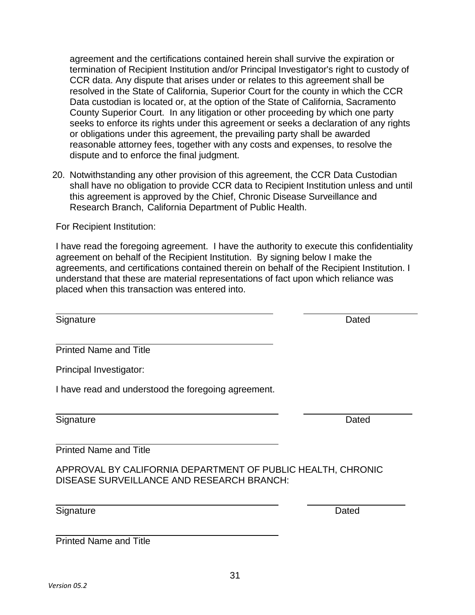agreement and the certifications contained herein shall survive the expiration or termination of Recipient Institution and/or Principal Investigator's right to custody of CCR data. Any dispute that arises under or relates to this agreement shall be resolved in the State of California, Superior Court for the county in which the CCR Data custodian is located or, at the option of the State of California, Sacramento County Superior Court. In any litigation or other proceeding by which one party seeks to enforce its rights under this agreement or seeks a declaration of any rights or obligations under this agreement, the prevailing party shall be awarded reasonable attorney fees, together with any costs and expenses, to resolve the dispute and to enforce the final judgment.

20. Notwithstanding any other provision of this agreement, the CCR Data Custodian shall have no obligation to provide CCR data to Recipient Institution unless and until this agreement is approved by the Chief, Chronic Disease Surveillance and Research Branch, California Department of Public Health.

For Recipient Institution:

I have read the foregoing agreement. I have the authority to execute this confidentiality agreement on behalf of the Recipient Institution. By signing below I make the agreements, and certifications contained therein on behalf of the Recipient Institution. I understand that these are material representations of fact upon which reliance was placed when this transaction was entered into.

Signature Dated **Dated** 

Printed Name and Title

Principal Investigator:

I have read and understood the foregoing agreement.

Signature Dated

Printed Name and Title

Printed Name and Title

APPROVAL BY CALIFORNIA DEPARTMENT OF PUBLIC HEALTH, CHRONIC DISEASE SURVEILLANCE AND RESEARCH BRANCH:

Signature **Dated** 

31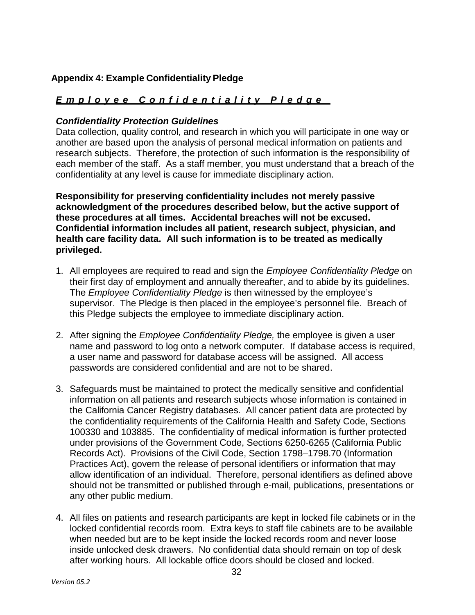#### <span id="page-31-0"></span>**Appendix 4: Example Confidentiality Pledge**

## Emplovee Confidentiality Pledge

#### *Confidentiality Protection Guidelines*

Data collection, quality control, and research in which you will participate in one way or another are based upon the analysis of personal medical information on patients and research subjects. Therefore, the protection of such information is the responsibility of each member of the staff. As a staff member, you must understand that a breach of the confidentiality at any level is cause for immediate disciplinary action.

**Responsibility for preserving confidentiality includes not merely passive acknowledgment of the procedures described below, but the active support of these procedures at all times. Accidental breaches will not be excused. Confidential information includes all patient, research subject, physician, and health care facility data. All such information is to be treated as medically privileged.**

- 1. All employees are required to read and sign the *Employee Confidentiality Pledge* on their first day of employment and annually thereafter, and to abide by its guidelines. The *Employee Confidentiality Pledge* is then witnessed by the employee's supervisor. The Pledge is then placed in the employee's personnel file. Breach of this Pledge subjects the employee to immediate disciplinary action.
- 2. After signing the *Employee Confidentiality Pledge,* the employee is given a user name and password to log onto a network computer. If database access is required, a user name and password for database access will be assigned. All access passwords are considered confidential and are not to be shared.
- 3. Safeguards must be maintained to protect the medically sensitive and confidential information on all patients and research subjects whose information is contained in the California Cancer Registry databases. All cancer patient data are protected by the confidentiality requirements of the California Health and Safety Code, Sections 100330 and 103885. The confidentiality of medical information is further protected under provisions of the Government Code, Sections 6250-6265 (California Public Records Act). Provisions of the Civil Code, Section 1798–1798.70 (Information Practices Act), govern the release of personal identifiers or information that may allow identification of an individual. Therefore, personal identifiers as defined above should not be transmitted or published through e-mail, publications, presentations or any other public medium.
- 4. All files on patients and research participants are kept in locked file cabinets or in the locked confidential records room. Extra keys to staff file cabinets are to be available when needed but are to be kept inside the locked records room and never loose inside unlocked desk drawers. No confidential data should remain on top of desk after working hours. All lockable office doors should be closed and locked.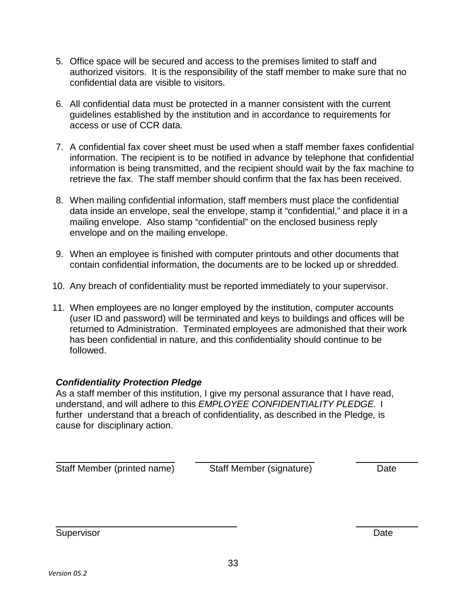- 5. Office space will be secured and access to the premises limited to staff and authorized visitors. It is the responsibility of the staff member to make sure that no confidential data are visible to visitors.
- 6. All confidential data must be protected in a manner consistent with the current guidelines established by the institution and in accordance to requirements for access or use of CCR data.
- 7. A confidential fax cover sheet must be used when a staff member faxes confidential information. The recipient is to be notified in advance by telephone that confidential information is being transmitted, and the recipient should wait by the fax machine to retrieve the fax. The staff member should confirm that the fax has been received.
- 8. When mailing confidential information, staff members must place the confidential data inside an envelope, seal the envelope, stamp it "confidential," and place it in a mailing envelope. Also stamp "confidential" on the enclosed business reply envelope and on the mailing envelope.
- 9. When an employee is finished with computer printouts and other documents that contain confidential information, the documents are to be locked up or shredded.
- 10. Any breach of confidentiality must be reported immediately to your supervisor.
- 11. When employees are no longer employed by the institution, computer accounts (user ID and password) will be terminated and keys to buildings and offices will be returned to Administration. Terminated employees are admonished that their work has been confidential in nature, and this confidentiality should continue to be followed.

## *Confidentiality Protection Pledge*

As a staff member of this institution, I give my personal assurance that I have read, understand, and will adhere to this *EMPLOYEE CONFIDENTIALITY PLEDGE.* I further understand that a breach of confidentiality, as described in the Pledge*,* is cause for disciplinary action.

| Staff Member (printed name) |  |
|-----------------------------|--|
|-----------------------------|--|

Staff Member (signature) Date

Supervisor **Date**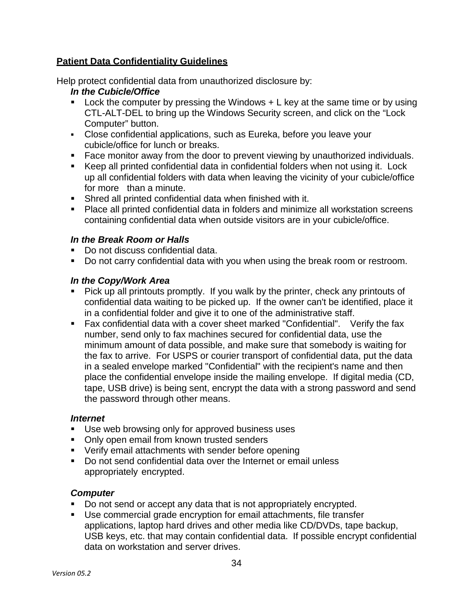#### **Patient Data Confidentiality Guidelines**

Help protect confidential data from unauthorized disclosure by:

#### *In the Cubicle/Office*

- **Lock the computer by pressing the Windows**  $+ L$  **key at the same time or by using** CTL-ALT-DEL to bring up the Windows Security screen, and click on the "Lock Computer" button.
- Close confidential applications, such as Eureka, before you leave your cubicle/office for lunch or breaks.
- **Face monitor away from the door to prevent viewing by unauthorized individuals.**
- Keep all printed confidential data in confidential folders when not using it. Lock up all confidential folders with data when leaving the vicinity of your cubicle/office for more than a minute.
- Shred all printed confidential data when finished with it.
- **Place all printed confidential data in folders and minimize all workstation screens** containing confidential data when outside visitors are in your cubicle/office.

#### *In the Break Room or Halls*

- Do not discuss confidential data.
- Do not carry confidential data with you when using the break room or restroom.

#### *In the Copy/Work Area*

- Pick up all printouts promptly. If you walk by the printer, check any printouts of confidential data waiting to be picked up. If the owner can't be identified, place it in a confidential folder and give it to one of the administrative staff.
- Fax confidential data with a cover sheet marked "Confidential". Verify the fax number, send only to fax machines secured for confidential data, use the minimum amount of data possible, and make sure that somebody is waiting for the fax to arrive. For USPS or courier transport of confidential data, put the data in a sealed envelope marked "Confidential" with the recipient's name and then place the confidential envelope inside the mailing envelope. If digital media (CD, tape, USB drive) is being sent, encrypt the data with a strong password and send the password through other means.

#### *Internet*

- Use web browsing only for approved business uses
- Only open email from known trusted senders
- **Verify email attachments with sender before opening**
- Do not send confidential data over the Internet or email unless appropriately encrypted.

#### *Computer*

- Do not send or accept any data that is not appropriately encrypted.
- Use commercial grade encryption for email attachments, file transfer applications, laptop hard drives and other media like CD/DVDs, tape backup, USB keys, etc. that may contain confidential data. If possible encrypt confidential data on workstation and server drives.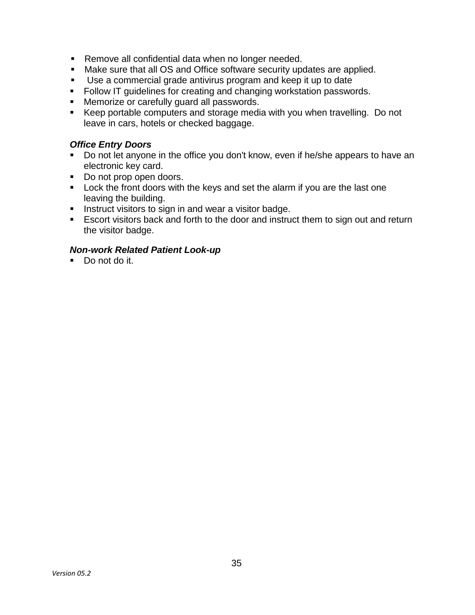- Remove all confidential data when no longer needed.
- Make sure that all OS and Office software security updates are applied.
- Use a commercial grade antivirus program and keep it up to date
- Follow IT guidelines for creating and changing workstation passwords.
- **Memorize or carefully guard all passwords.**
- Keep portable computers and storage media with you when travelling. Do not leave in cars, hotels or checked baggage.

#### *Office Entry Doors*

- Do not let anyone in the office you don't know, even if he/she appears to have an electronic key card.
- Do not prop open doors.
- **Lock the front doors with the keys and set the alarm if you are the last one** leaving the building.
- **Instruct visitors to sign in and wear a visitor badge.**
- **E** Escort visitors back and forth to the door and instruct them to sign out and return the visitor badge.

#### *Non-work Related Patient Look-up*

Do not do it.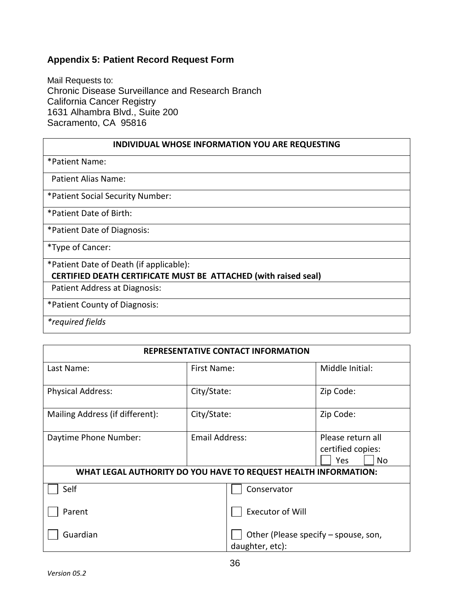#### <span id="page-35-0"></span>**Appendix 5: Patient Record Request Form**

Mail Requests to: Chronic Disease Surveillance and Research Branch California Cancer Registry 1631 Alhambra Blvd., Suite 200 Sacramento, CA 95816

#### **INDIVIDUAL WHOSE INFORMATION YOU ARE REQUESTING**

\*Patient Name:

Patient Alias Name:

\*Patient Social Security Number:

\*Patient Date of Birth:

\*Patient Date of Diagnosis:

\*Type of Cancer:

\*Patient Date of Death (if applicable):  **CERTIFIED DEATH CERTIFICATE MUST BE ATTACHED (with raised seal)**

Patient Address at Diagnosis:

\*Patient County of Diagnosis:

*\*required fields*

## **REPRESENTATIVE CONTACT INFORMATION**

| Last Name:<br>First Name:                                       |                       |                                                         | Middle Initial:                                      |  |  |  |
|-----------------------------------------------------------------|-----------------------|---------------------------------------------------------|------------------------------------------------------|--|--|--|
| City/State:<br><b>Physical Address:</b>                         |                       |                                                         | Zip Code:                                            |  |  |  |
| Mailing Address (if different):                                 | City/State:           |                                                         | Zip Code:                                            |  |  |  |
| Daytime Phone Number:                                           | <b>Email Address:</b> |                                                         | Please return all<br>certified copies:<br>Yes<br>No. |  |  |  |
| WHAT LEGAL AUTHORITY DO YOU HAVE TO REQUEST HEALTH INFORMATION: |                       |                                                         |                                                      |  |  |  |
| Self                                                            |                       | Conservator                                             |                                                      |  |  |  |
| Parent                                                          |                       | <b>Executor of Will</b>                                 |                                                      |  |  |  |
| Guardian                                                        |                       | Other (Please specify - spouse, son,<br>daughter, etc): |                                                      |  |  |  |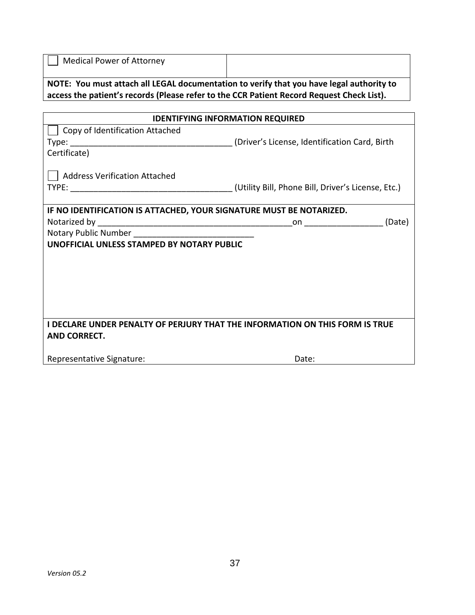|  | Medical Power of Attorney |
|--|---------------------------|
|--|---------------------------|

**NOTE: You must attach all LEGAL documentation to verify that you have legal authority to access the patient's records (Please refer to the CCR Patient Record Request Check List).**

| <b>IDENTIFYING INFORMATION REQUIRED</b>                                      |                                                                                                                         |  |  |  |  |
|------------------------------------------------------------------------------|-------------------------------------------------------------------------------------------------------------------------|--|--|--|--|
| Copy of Identification Attached                                              |                                                                                                                         |  |  |  |  |
|                                                                              | (Driver's License, Identification Card, Birth                                                                           |  |  |  |  |
| Certificate)                                                                 |                                                                                                                         |  |  |  |  |
| <b>Address Verification Attached</b>                                         |                                                                                                                         |  |  |  |  |
|                                                                              | (Utility Bill, Phone Bill, Driver's License, Etc.)                                                                      |  |  |  |  |
|                                                                              |                                                                                                                         |  |  |  |  |
| IF NO IDENTIFICATION IS ATTACHED, YOUR SIGNATURE MUST BE NOTARIZED.          |                                                                                                                         |  |  |  |  |
|                                                                              | (Date)<br>on a series on the series on the series of the series of the series of the series of the series of the series |  |  |  |  |
| Notary Public Number Notary Public Number                                    |                                                                                                                         |  |  |  |  |
| UNOFFICIAL UNLESS STAMPED BY NOTARY PUBLIC                                   |                                                                                                                         |  |  |  |  |
|                                                                              |                                                                                                                         |  |  |  |  |
|                                                                              |                                                                                                                         |  |  |  |  |
|                                                                              |                                                                                                                         |  |  |  |  |
|                                                                              |                                                                                                                         |  |  |  |  |
|                                                                              |                                                                                                                         |  |  |  |  |
|                                                                              |                                                                                                                         |  |  |  |  |
| I DECLARE UNDER PENALTY OF PERJURY THAT THE INFORMATION ON THIS FORM IS TRUE |                                                                                                                         |  |  |  |  |
| <b>AND CORRECT.</b>                                                          |                                                                                                                         |  |  |  |  |
|                                                                              |                                                                                                                         |  |  |  |  |
| Representative Signature:                                                    | Date:                                                                                                                   |  |  |  |  |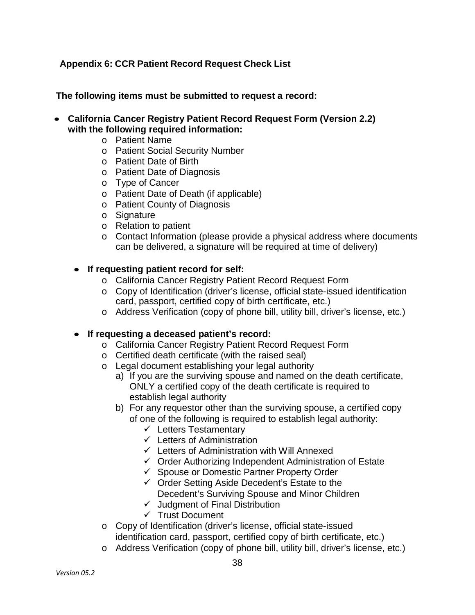## <span id="page-37-0"></span>**Appendix 6: CCR Patient Record Request Check List**

**The following items must be submitted to request a record:**

- **California Cancer Registry Patient Record Request Form (Version 2.2) with the following required information:**
	- o Patient Name
	- o Patient Social Security Number
	- o Patient Date of Birth
	- o Patient Date of Diagnosis
	- o Type of Cancer
	- o Patient Date of Death (if applicable)
	- o Patient County of Diagnosis
	- o Signature
	- o Relation to patient
	- o Contact Information (please provide a physical address where documents can be delivered, a signature will be required at time of delivery)

#### • **If requesting patient record for self:**

- o California Cancer Registry Patient Record Request Form
- o Copy of Identification (driver's license, official state-issued identification card, passport, certified copy of birth certificate, etc.)
- o Address Verification (copy of phone bill, utility bill, driver's license, etc.)

#### • **If requesting a deceased patient's record:**

- o California Cancer Registry Patient Record Request Form
- o Certified death certificate (with the raised seal)
- o Legal document establishing your legal authority
	- a) If you are the surviving spouse and named on the death certificate, ONLY a certified copy of the death certificate is required to establish legal authority
	- b) For any requestor other than the surviving spouse, a certified copy of one of the following is required to establish legal authority:
		- $\checkmark$  Letters Testamentary
		- $\checkmark$  Letters of Administration
		- $\checkmark$  Letters of Administration with Will Annexed
		- $\checkmark$  Order Authorizing Independent Administration of Estate
		- Spouse or Domestic Partner Property Order
		- $\checkmark$  Order Setting Aside Decedent's Estate to the Decedent's Surviving Spouse and Minor Children
		- $\checkmark$  Judgment of Final Distribution
		- $\checkmark$  Trust Document
- o Copy of Identification (driver's license, official state-issued identification card, passport, certified copy of birth certificate, etc.)
- o Address Verification (copy of phone bill, utility bill, driver's license, etc.)